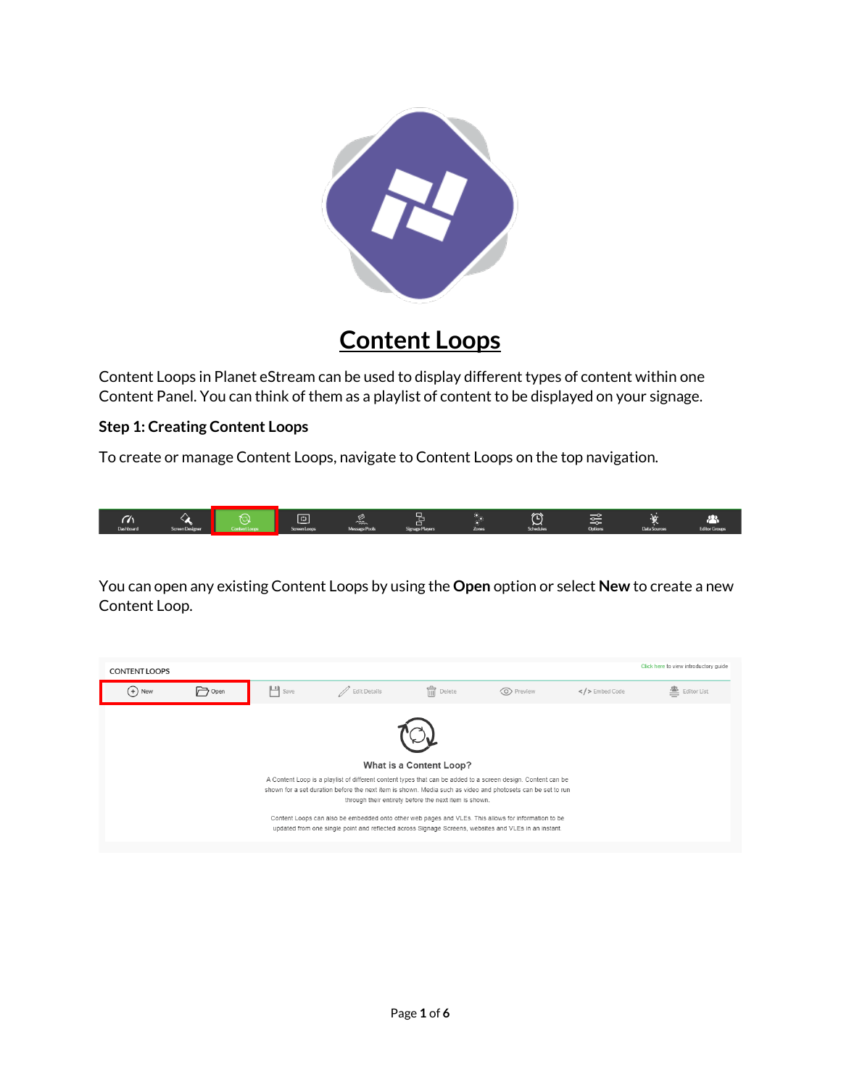

## **Content Loops**

Content Loops in Planet eStream can be used to display different types of content within one Content Panel. You can think of them as a playlist of content to be displayed on your signage.

## **Step 1: Creating Content Loops**

To create or manage Content Loops, navigate to Content Loops on the top navigation.



You can open any existing Content Loops by using the **Open** option or select **New** to create a new Content Loop.

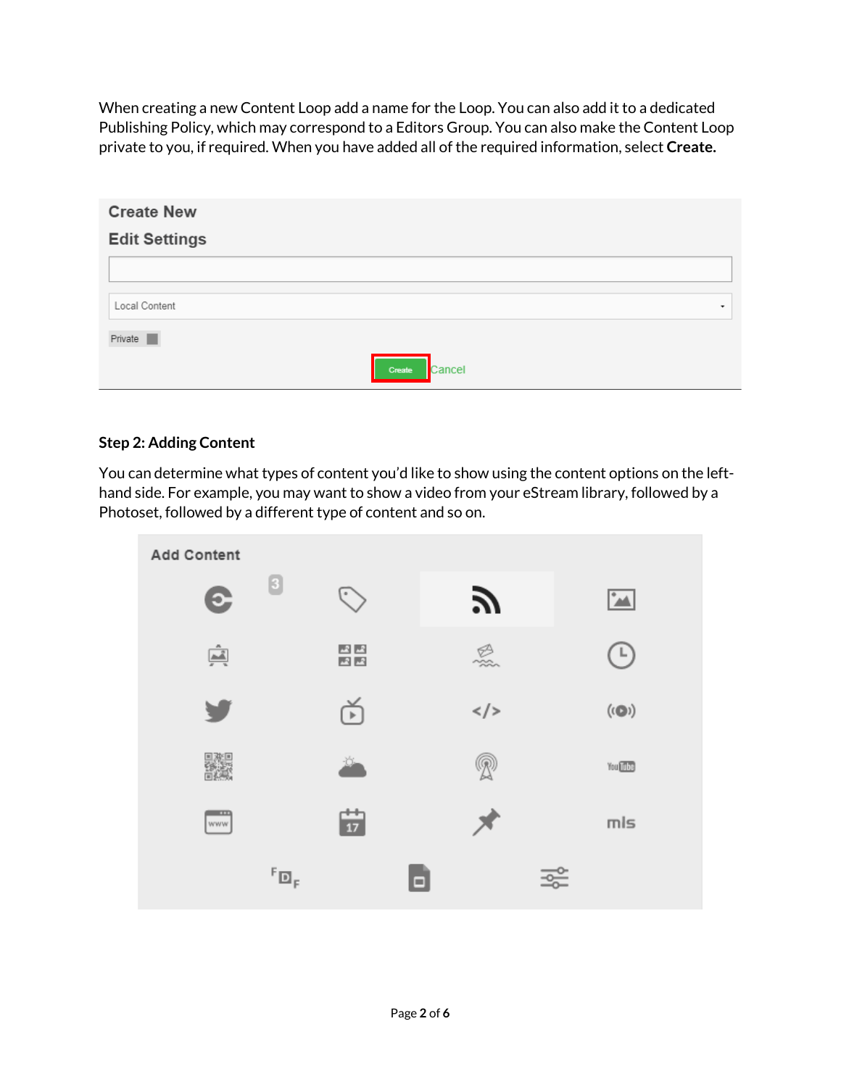When creating a new Content Loop add a name for the Loop. You can also add it to a dedicated Publishing Policy, which may correspond to a Editors Group. You can also make the Content Loop private to you, if required. When you have added all of the required information, select **Create.**

| <b>Create New</b>    |                  |
|----------------------|------------------|
| <b>Edit Settings</b> |                  |
|                      |                  |
| Local Content        | ۰                |
| Private              |                  |
|                      | Cancel<br>Create |

## **Step 2: Adding Content**

You can determine what types of content you'd like to show using the content options on the lefthand side. For example, you may want to show a video from your eStream library, followed by a Photoset, followed by a different type of content and so on.

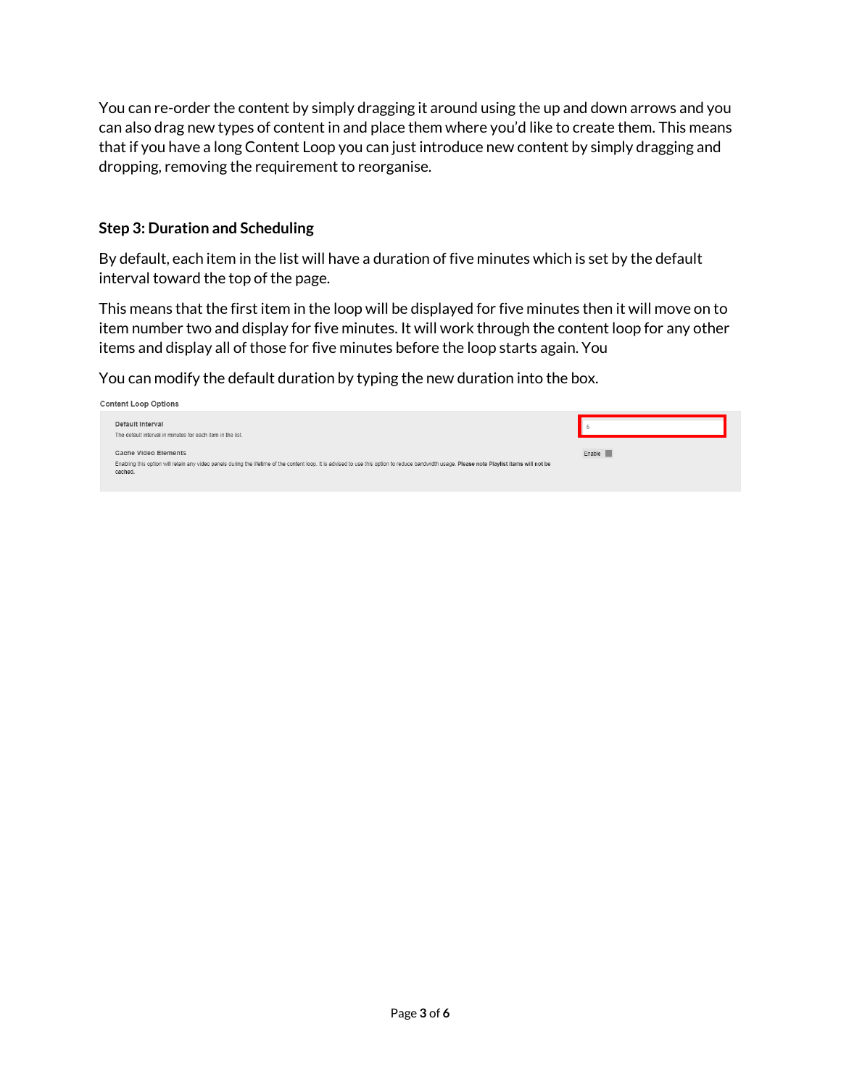You can re-order the content by simply dragging it around using the up and down arrows and you can also drag new types of content in and place them where you'd like to create them. This means that if you have a long Content Loop you can just introduce new content by simply dragging and dropping, removing the requirement to reorganise.

## **Step 3: Duration and Scheduling**

By default, each item in the list will have a duration of five minutes which is set by the default interval toward the top of the page.

This means that the first item in the loop will be displayed for five minutes then it will move on to item number two and display for five minutes. It will work through the content loop for any other items and display all of those for five minutes before the loop starts again. You

You can modify the default duration by typing the new duration into the box.

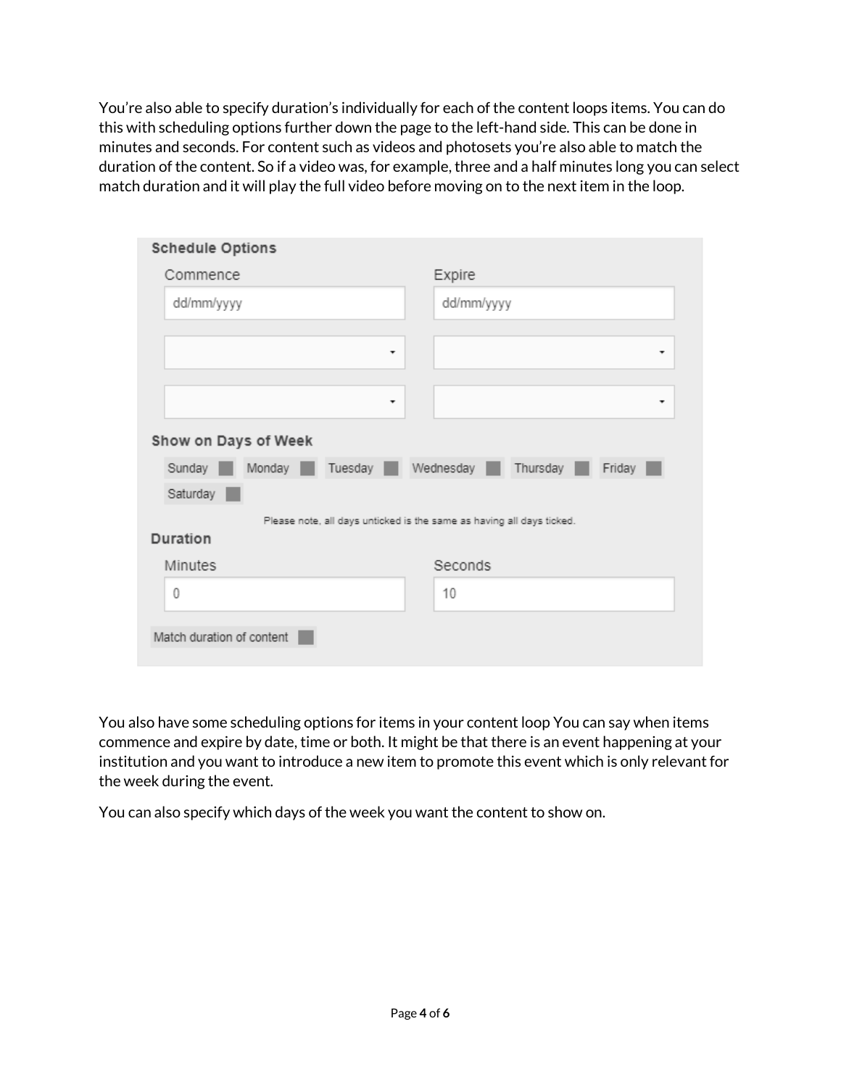You're also able to specify duration's individually for each of the content loops items. You can do this with scheduling options further down the page to the left-hand side. This can be done in minutes and seconds. For content such as videos and photosets you're also able to match the duration of the content. So if a video was, for example, three and a half minutes long you can select match duration and it will play the full video before moving on to the next item in the loop.

| <b>Schedule Options</b>                                               |                              |  |  |  |  |
|-----------------------------------------------------------------------|------------------------------|--|--|--|--|
| Commence                                                              | Expire                       |  |  |  |  |
| dd/mm/yyyy                                                            | dd/mm/yyyy                   |  |  |  |  |
|                                                                       |                              |  |  |  |  |
|                                                                       | ۰<br>۰                       |  |  |  |  |
|                                                                       |                              |  |  |  |  |
|                                                                       | ۰<br>٠                       |  |  |  |  |
| Show on Days of Week                                                  |                              |  |  |  |  |
| Tuesday<br>Sunday<br>Monday                                           | Wednesday Thursday<br>Friday |  |  |  |  |
| Saturday                                                              |                              |  |  |  |  |
| Please note, all days unticked is the same as having all days ticked. |                              |  |  |  |  |
| Duration                                                              |                              |  |  |  |  |
| Minutes                                                               | Seconds                      |  |  |  |  |
| 0                                                                     | 10                           |  |  |  |  |
| Match duration of content                                             |                              |  |  |  |  |

You also have some scheduling options for items in your content loop You can say when items commence and expire by date, time or both. It might be that there is an event happening at your institution and you want to introduce a new item to promote this event which is only relevant for the week during the event.

You can also specify which days of the week you want the content to show on.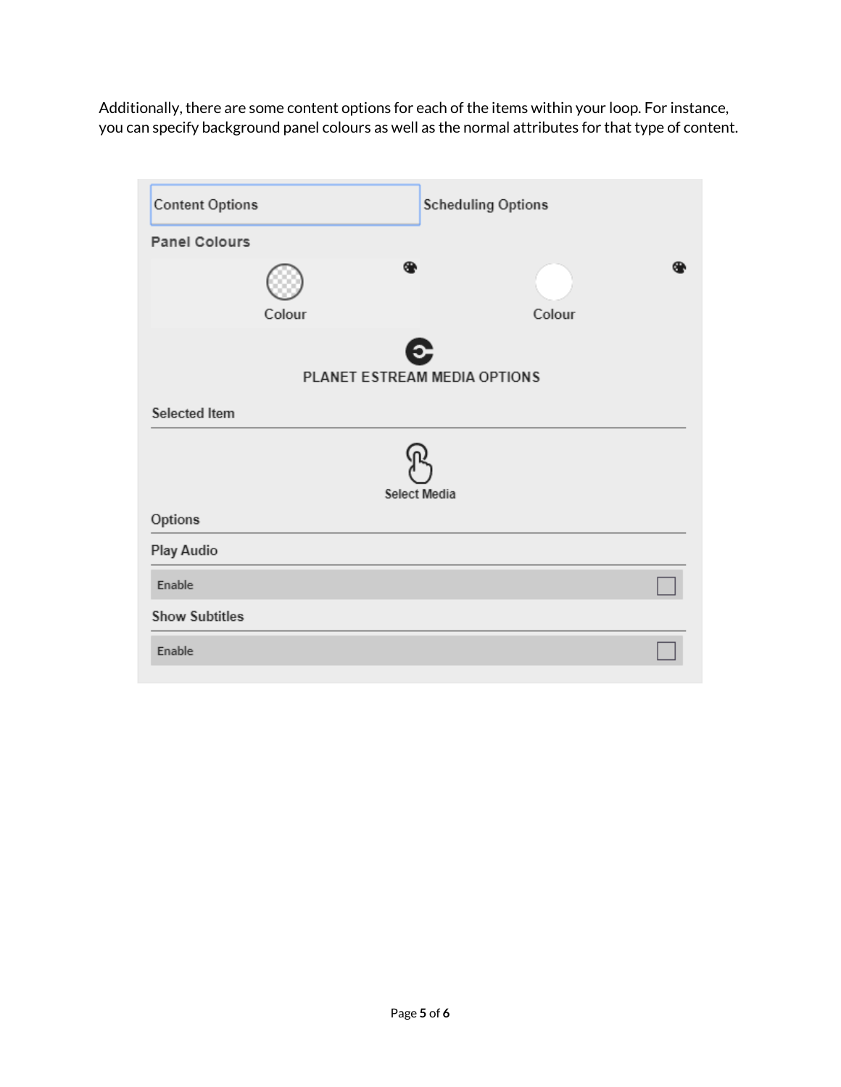Additionally, there are some content options for each of the items within your loop. For instance, you can specify background panel colours as well as the normal attributes for that type of content.

| <b>Content Options</b>            | <b>Scheduling Options</b> |  |  |  |  |
|-----------------------------------|---------------------------|--|--|--|--|
| <b>Panel Colours</b>              |                           |  |  |  |  |
| ⊕<br>Colour                       | Colour                    |  |  |  |  |
| E<br>PLANET ESTREAM MEDIA OPTIONS |                           |  |  |  |  |
| Selected Item                     |                           |  |  |  |  |
| <b>Select Media</b>               |                           |  |  |  |  |
| Options                           |                           |  |  |  |  |
| Play Audio                        |                           |  |  |  |  |
| Enable                            |                           |  |  |  |  |
| <b>Show Subtitles</b>             |                           |  |  |  |  |
| Enable                            |                           |  |  |  |  |